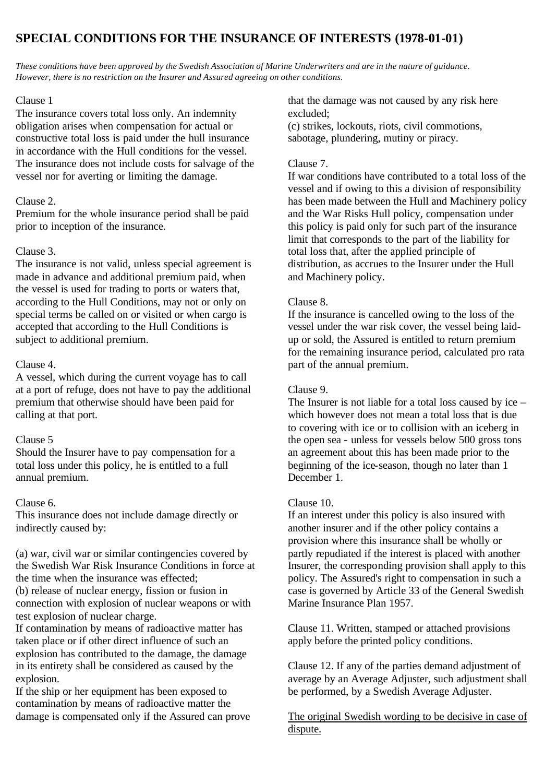# **SPECIAL CONDITIONS FOR THE INSURANCE OF INTERESTS (1978-01-01)**

*These conditions have been approved by the Swedish Association of Marine Underwriters and are in the nature of guidance. However, there is no restriction on the Insurer and Assured agreeing on other conditions.*

#### Clause 1

The insurance covers total loss only. An indemnity obligation arises when compensation for actual or constructive total loss is paid under the hull insurance in accordance with the Hull conditions for the vessel. The insurance does not include costs for salvage of the vessel nor for averting or limiting the damage.

## Clause 2.

Premium for the whole insurance period shall be paid prior to inception of the insurance.

## Clause 3.

The insurance is not valid, unless special agreement is made in advance and additional premium paid, when the vessel is used for trading to ports or waters that, according to the Hull Conditions, may not or only on special terms be called on or visited or when cargo is accepted that according to the Hull Conditions is subject to additional premium.

### Clause 4.

A vessel, which during the current voyage has to call at a port of refuge, does not have to pay the additional premium that otherwise should have been paid for calling at that port.

#### Clause 5

Should the Insurer have to pay compensation for a total loss under this policy, he is entitled to a full annual premium.

#### Clause 6.

This insurance does not include damage directly or indirectly caused by:

(a) war, civil war or similar contingencies covered by the Swedish War Risk Insurance Conditions in force at the time when the insurance was effected;

(b) release of nuclear energy, fission or fusion in connection with explosion of nuclear weapons or with test explosion of nuclear charge.

If contamination by means of radioactive matter has taken place or if other direct influence of such an explosion has contributed to the damage, the damage in its entirety shall be considered as caused by the explosion.

If the ship or her equipment has been exposed to contamination by means of radioactive matter the damage is compensated only if the Assured can prove that the damage was not caused by any risk here excluded;

(c) strikes, lockouts, riots, civil commotions, sabotage, plundering, mutiny or piracy.

#### Clause 7.

If war conditions have contributed to a total loss of the vessel and if owing to this a division of responsibility has been made between the Hull and Machinery policy and the War Risks Hull policy, compensation under this policy is paid only for such part of the insurance limit that corresponds to the part of the liability for total loss that, after the applied principle of distribution, as accrues to the Insurer under the Hull and Machinery policy.

#### Clause 8.

If the insurance is cancelled owing to the loss of the vessel under the war risk cover, the vessel being laidup or sold, the Assured is entitled to return premium for the remaining insurance period, calculated pro rata part of the annual premium.

#### Clause 9.

The Insurer is not liable for a total loss caused by ice – which however does not mean a total loss that is due to covering with ice or to collision with an iceberg in the open sea - unless for vessels below 500 gross tons an agreement about this has been made prior to the beginning of the ice-season, though no later than 1 December 1.

#### Clause 10.

If an interest under this policy is also insured with another insurer and if the other policy contains a provision where this insurance shall be wholly or partly repudiated if the interest is placed with another Insurer, the corresponding provision shall apply to this policy. The Assured's right to compensation in such a case is governed by Article 33 of the General Swedish Marine Insurance Plan 1957.

Clause 11. Written, stamped or attached provisions apply before the printed policy conditions.

Clause 12. If any of the parties demand adjustment of average by an Average Adjuster, such adjustment shall be performed, by a Swedish Average Adjuster.

The original Swedish wording to be decisive in case of dispute.